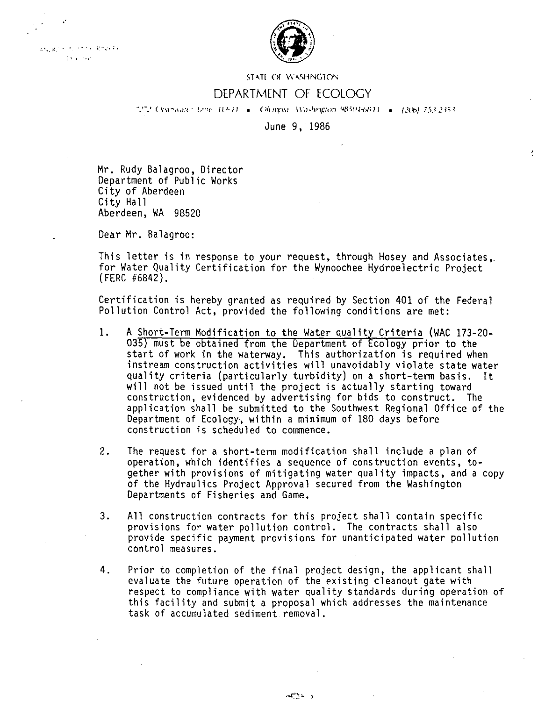$\begin{split} \text{argmin}_{\mathbf{x}}\mathbf{g}_{1}^{(1)}\leftarrow\mathbf{f}_{1}^{(1)}\left(\boldsymbol{\gamma}^{\frac{1}{2}}\right)\boldsymbol{\gamma}^{\frac{1}{2}}\left(\boldsymbol{\gamma}\right)\mathbf{g}_{1}^{(1)}\boldsymbol{\chi}^{\frac{1}{2}}\right)\mathbf{f}\mathbf{\hat{s}}\\ &\qquad\qquad\left\{ \mathbf{f}_{1}^{(1)}\boldsymbol{\gamma}^{\frac{1}{2}}\left(\boldsymbol{\gamma}\right)\right\} \end{split}$ 

•'



STATE OF WASHINGTON.

## DEPARTMENT OF ECOLOGY

"2"2 Cleanwater Lane LLF-11 . Ohimpia: Washington 985(43811 . (206) 753-2353.

June 9, 1986

Ł

Mr. Rudy Balagroo, Director Department of Public Works City of Aberdeen City Hall Aberdeen, WA 98520

Dear Mr. Balagroo:

This letter is in response to your request, through Hosey and Associates,, for Water Quality Certification for the Wynoochee Hydroelectric Project<br>(FERC #6842).

Certification is hereby granted as required by Section 401 of the Federal Pollution Control Act, provided the following conditions are met:

- 1. A Short-Term Modification to the Water quality Criteria (WAC 173-20-035) must be obtained from the Department of Ecology prior to the start of work in the waterway. This authorization is required when instream construction activities will unavoidably violate state water quality criteria (particularly turbidity} on a short-term basis. It will not be issued until the project is actually starting toward construction, evidenced by advertising for bids to construct. The application shall be submitted to the Southwest Regional Office of the Department of Ecology, within a minimum of 180 days before construction is scheduled to commence.
- 2. The request for a short-term modification shall include a plan of operation, which identifies a sequence of construction events, together with provisions of mitigating water quality impacts, and a copy of the Hydraulics Project Approval secured from the Washington Departments of Fisheries and Game.
- 3. All construction contracts for this project shall contain specific provisions for water pollution control. The contracts shall also provide specific payment provisions for unanticipated water pollution control measures.
- 4. Prior to completion of the final project design, the applicant shall evaluate the future operation of the existing cleanout gate with respect to compliance with water quality standards during operation of this facility and submit a proposal which addresses the maintenance task of accumulated sediment removal.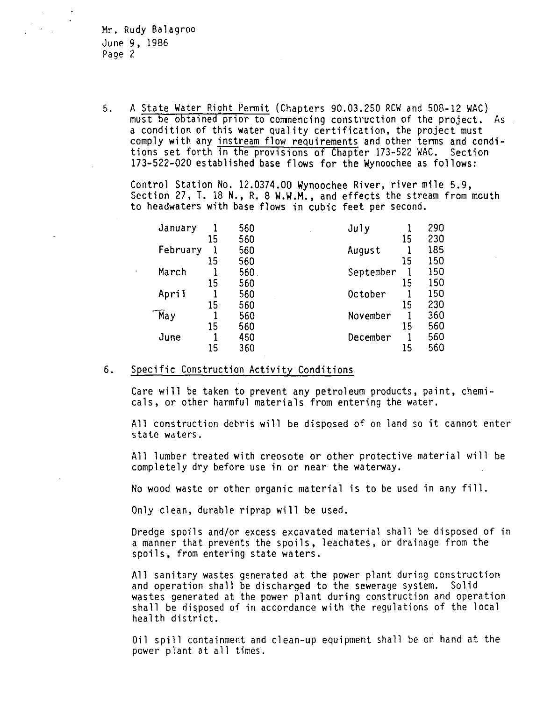Mr. Rudy Balagroo June 9, 1986 Page 2

5. A State Water Riaht Permit (Chapters 90.03.250 RCW and 508-12 WAC} must be obtained prior to commencing construction of the project. As a condition of this water quality certification, the project must comply with any instream flow requirements and other terms and conditions set forth in the provisions of Chapter 173-522 WAC. Section 173-522-020 established base flows for the Wynoochee as follows:

Control Station No. 12.0374.00 Wynoochee River, river mile 5.9, Section 27, T. 18 N., R. 8 **W.W.M.,** and effects the stream from mouth to headwaters with base flows in cubic feet per second.

| January  |    | 560 | July      |    | 290 |
|----------|----|-----|-----------|----|-----|
|          | 15 | 560 |           | 15 | 230 |
| February |    | 560 | August    |    | 185 |
|          | 15 | 560 |           | 15 | 150 |
| March    |    | 560 | September |    | 150 |
|          | 15 | 560 |           | 15 | 150 |
| April    |    | 560 | October   |    | 150 |
|          | 15 | 560 |           | 15 | 230 |
| May      |    | 560 | November  |    | 360 |
|          | 15 | 560 |           | 15 | 560 |
| June     |    | 450 | December  |    | 560 |
|          | 15 | 360 |           | 15 | 560 |
|          |    |     |           |    |     |

## 6. Specific Construction Activity Conditions

Care will be taken to prevent any petroleum products, paint, chemicals, or other harmful materials from entering the water.

All construction debris will be disposed of on land so it cannot enter state waters.

All lumber treated with creosote or other protective material will be completely dry before use in or near the waterway.

No wood waste or other organic material is to be used in any fill.

Only clean, durable riprap will be used.

Dredge spoils and/or excess excavated material shall be disposed of in a manner that prevents the spoils, leachates, or drainage from the spoils, from entering state waters.

All sanitary wastes generated at the power plant during construction and operation shall be discharged to the sewerage system. Solid wastes generated at the power plant during construction and operation shall be disposed of in accordance with the regulations of the local health district.

Oil spill containment and clean-up equipment shall be on hand at the power plant at all times.